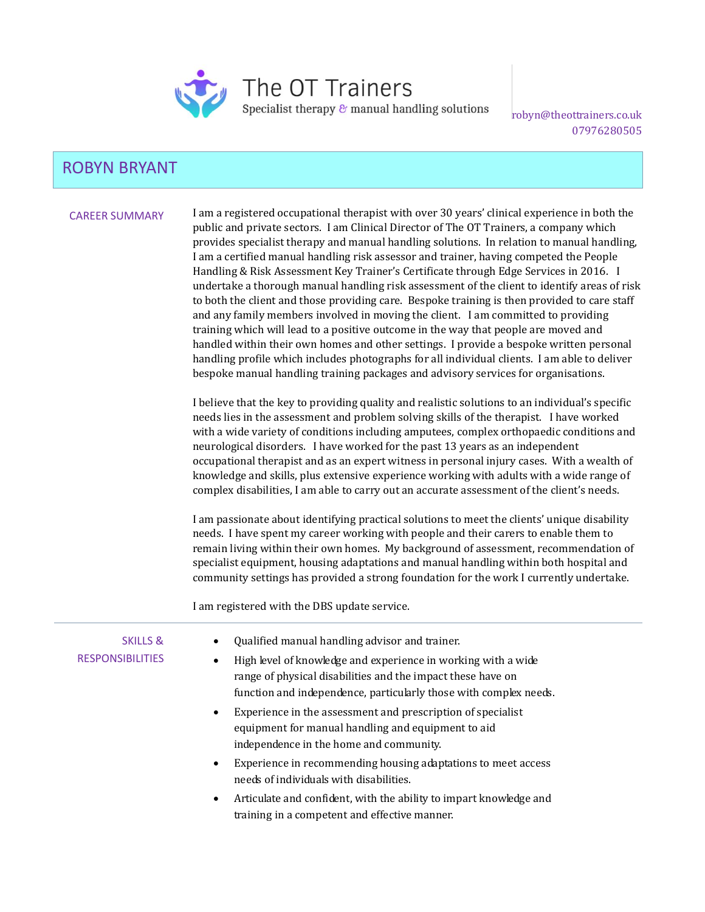

The OT Trainers

Specialist therapy  $\varepsilon$  manual handling solutions

robyn@theottrainers.co.uk 07976280505

# ROBYN BRYANT

CAREER SUMMARY I am a registered occupational therapist with over 30 years' clinical experience in both the public and private sectors. I am Clinical Director of The OT Trainers, a company which provides specialist therapy and manual handling solutions. In relation to manual handling, I am a certified manual handling risk assessor and trainer, having competed the People Handling & Risk Assessment Key Trainer's Certificate through Edge Services in 2016. I undertake a thorough manual handling risk assessment of the client to identify areas of risk to both the client and those providing care. Bespoke training is then provided to care staff and any family members involved in moving the client. I am committed to providing training which will lead to a positive outcome in the way that people are moved and handled within their own homes and other settings. I provide a bespoke written personal handling profile which includes photographs for all individual clients. I am able to deliver bespoke manual handling training packages and advisory services for organisations.

> I believe that the key to providing quality and realistic solutions to an individual's specific needs lies in the assessment and problem solving skills of the therapist. I have worked with a wide variety of conditions including amputees, complex orthopaedic conditions and neurological disorders. I have worked for the past 13 years as an independent occupational therapist and as an expert witness in personal injury cases. With a wealth of knowledge and skills, plus extensive experience working with adults with a wide range of complex disabilities, I am able to carry out an accurate assessment of the client's needs.

> I am passionate about identifying practical solutions to meet the clients' unique disability needs. I have spent my career working with people and their carers to enable them to remain living within their own homes. My background of assessment, recommendation of specialist equipment, housing adaptations and manual handling within both hospital and community settings has provided a strong foundation for the work I currently undertake.

I am registered with the DBS update service.

| <b>SKILLS &amp;</b><br><b>RESPONSIBILITIES</b> | Qualified manual handling advisor and trainer.<br>High level of knowledge and experience in working with a wide<br>$\bullet$<br>range of physical disabilities and the impact these have on<br>function and independence, particularly those with complex needs. |
|------------------------------------------------|------------------------------------------------------------------------------------------------------------------------------------------------------------------------------------------------------------------------------------------------------------------|
|                                                | Experience in the assessment and prescription of specialist<br>$\bullet$<br>equipment for manual handling and equipment to aid<br>independence in the home and community.                                                                                        |
|                                                | Experience in recommending housing adaptations to meet access<br>needs of individuals with disabilities.                                                                                                                                                         |
|                                                | Articulate and confident, with the ability to impart knowledge and<br>$\bullet$<br>training in a competent and effective manner.                                                                                                                                 |